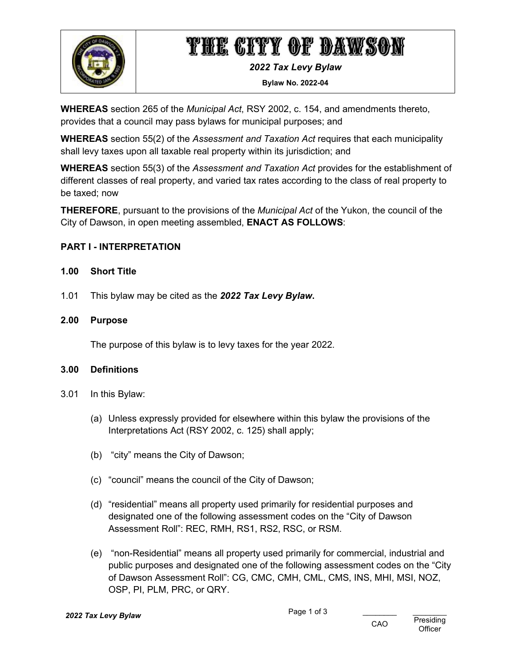

# THE CITY OF DAWSON

*2022 Tax Levy Bylaw*

**Bylaw No. 2022-04**

**WHEREAS** section 265 of the *Municipal Act*, RSY 2002, c. 154, and amendments thereto, provides that a council may pass bylaws for municipal purposes; and

**WHEREAS** section 55(2) of the *Assessment and Taxation Act* requires that each municipality shall levy taxes upon all taxable real property within its jurisdiction; and

**WHEREAS** section 55(3) of the *Assessment and Taxation Act* provides for the establishment of different classes of real property, and varied tax rates according to the class of real property to be taxed; now

**THEREFORE**, pursuant to the provisions of the *Municipal Act* of the Yukon, the council of the City of Dawson, in open meeting assembled, **ENACT AS FOLLOWS**:

# **PART I - INTERPRETATION**

### **1.00 Short Title**

1.01 This bylaw may be cited as the *2022 Tax Levy Bylaw***.**

#### **2.00 Purpose**

The purpose of this bylaw is to levy taxes for the year 2022.

#### **3.00 Definitions**

- 3.01 In this Bylaw:
	- (a) Unless expressly provided for elsewhere within this bylaw the provisions of the Interpretations Act (RSY 2002, c. 125) shall apply;
	- (b) "city" means the City of Dawson;
	- (c) "council" means the council of the City of Dawson;
	- (d) "residential" means all property used primarily for residential purposes and designated one of the following assessment codes on the "City of Dawson Assessment Roll": REC, RMH, RS1, RS2, RSC, or RSM.
	- (e) "non-Residential" means all property used primarily for commercial, industrial and public purposes and designated one of the following assessment codes on the "City of Dawson Assessment Roll": CG, CMC, CMH, CML, CMS, INS, MHI, MSI, NOZ, OSP, PI, PLM, PRC, or QRY.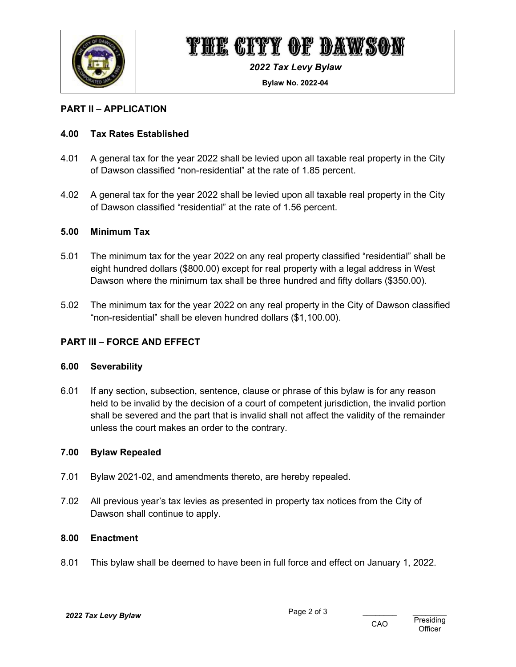

# THE CITY OF DAWSON

*2022 Tax Levy Bylaw*

**Bylaw No. 2022-04**

### **PART II – APPLICATION**

### **4.00 Tax Rates Established**

- 4.01 A general tax for the year 2022 shall be levied upon all taxable real property in the City of Dawson classified "non-residential" at the rate of 1.85 percent.
- 4.02 A general tax for the year 2022 shall be levied upon all taxable real property in the City of Dawson classified "residential" at the rate of 1.56 percent.

#### **5.00 Minimum Tax**

- 5.01 The minimum tax for the year 2022 on any real property classified "residential" shall be eight hundred dollars (\$800.00) except for real property with a legal address in West Dawson where the minimum tax shall be three hundred and fifty dollars (\$350.00).
- 5.02 The minimum tax for the year 2022 on any real property in the City of Dawson classified "non-residential" shall be eleven hundred dollars (\$1,100.00).

## **PART III – FORCE AND EFFECT**

#### **6.00 Severability**

6.01 If any section, subsection, sentence, clause or phrase of this bylaw is for any reason held to be invalid by the decision of a court of competent jurisdiction, the invalid portion shall be severed and the part that is invalid shall not affect the validity of the remainder unless the court makes an order to the contrary.

#### **7.00 Bylaw Repealed**

- 7.01 Bylaw 2021-02, and amendments thereto, are hereby repealed.
- 7.02 All previous year's tax levies as presented in property tax notices from the City of Dawson shall continue to apply.

#### **8.00 Enactment**

8.01 This bylaw shall be deemed to have been in full force and effect on January 1, 2022.